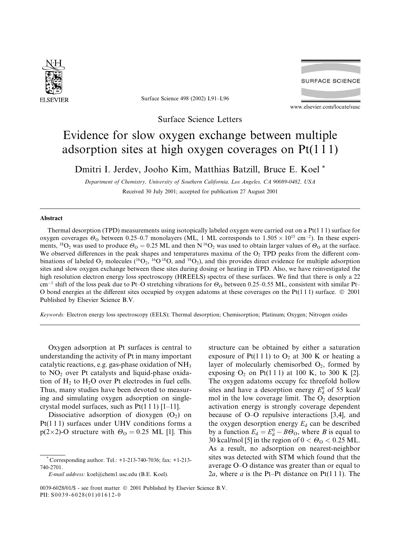

Surface Science 498 (2002) L91–L96

**SURFACE SCIENCE** 

www.elsevier.com/locate/susc

Surface Science Letters

## Evidence for slow oxygen exchange between multiple adsorption sites at high oxygen coverages on Pt(1 1 1)

Dmitri I. Jerdev, Jooho Kim, Matthias Batzill, Bruce E. Koel \*

Department of Chemistry, University of Southern California, Los Angeles, CA 90089-0482, USA Received 30 July 2001; accepted for publication 27 August 2001

## Abstract

Thermal desorption (TPD) measurements using isotopically labeled oxygen were carried out on a Pt(1 1 1) surface for oxygen coverages  $\Theta_0$  between 0.25–0.7 monolayers (ML, 1 ML corresponds to  $1.505 \times 10^{15}$  cm<sup>-2</sup>). In these experiments, <sup>18</sup>O<sub>2</sub> was used to produce  $\Theta_0 = 0.25$  ML and then N<sup>16</sup>O<sub>2</sub> was used to obtain larger values of  $\Theta_0$  at the surface. We observed differences in the peak shapes and temperatures maxima of the  $O<sub>2</sub>$  TPD peaks from the different combinations of labeled  $O_2$  molecules (<sup>16</sup>O<sub>2</sub>, <sup>16</sup>O<sup>18</sup>O, and <sup>18</sup>O<sub>2</sub>), and this provides direct evidence for multiple adsorption sites and slow oxygen exchange between these sites during dosing or heating in TPD.Also, we have reinvestigated the high resolution electron energy loss spectroscopy (HREELS) spectra of these surfaces. We find that there is only a 22 cm<sup>-1</sup> shift of the loss peak due to Pt–O stretching vibrations for  $\Theta_0$  between 0.25–0.55 ML, consistent with similar Pt– O bond energies at the different sites occupied by oxygen adatoms at these coverages on the Pt $(1\ 1\ 1)$  surface.  $\oslash$  2001 Published by Elsevier Science B.V.

Keywords: Electron energy loss spectroscopy (EELS); Thermal desorption; Chemisorption; Platinum; Oxygen; Nitrogen oxides

Oxygen adsorption at Pt surfaces is central to understanding the activity of Pt in many important catalytic reactions, e.g. gas-phase oxidation of NH3 to NO<sub>2</sub> over Pt catalysts and liquid-phase oxidation of  $H_2$  to  $H_2O$  over Pt electrodes in fuel cells. Thus, many studies have been devoted to measuring and simulating oxygen adsorption on singlecrystal model surfaces, such as  $Pt(1\ 1\ 1)$  [1–11].

Dissociative adsorption of dioxygen  $(O_2)$  on Pt(1 1 1) surfaces under UHV conditions forms a  $p(2\times2)$ -O structure with  $\Theta_0 = 0.25$  ML [1]. This

structure can be obtained by either a saturation exposure of Pt(111) to  $O_2$  at 300 K or heating a layer of molecularly chemisorbed  $O_2$ , formed by exposing  $O_2$  on Pt(111) at 100 K, to 300 K [2]. The oxygen adatoms occupy fcc threefold hollow sites and have a desorption energy  $E_d^0$  of 55 kcal/ mol in the low coverage limit. The  $O_2$  desorption activation energy is strongly coverage dependent because of O–O repulsive interactions [3,4], and the oxygen desorption energy  $E_d$  can be described by a function  $E_d = E_d^0 - B\Theta_0$ , where *B* is equal to 30 kcal/mol [5] in the region of  $0 < \Theta_0 < 0.25$  ML. As a result, no adsorption on nearest-neighbor sites was detected with STM which found that the average O–O distance was greater than or equal to 2a, where a is the Pt–Pt distance on Pt(111). The

Corresponding author. Tel.: +1-213-740-7036; fax: +1-213-740-2701.

E-mail address: koel@chem1.usc.edu (B.E. Koel).

<sup>0039-6028/01/\$ -</sup> see front matter  $\degree$  2001 Published by Elsevier Science B.V. PII: S0039-6028(01)01612-0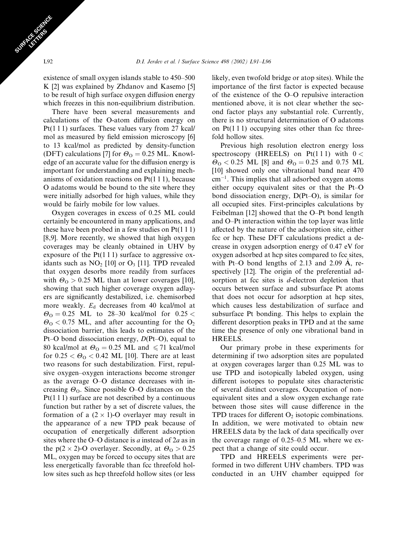existence of small oxygen islands stable to 450–500 K [2] was explained by Zhdanov and Kasemo [5] to be result of high surface oxygen diffusion energy which freezes in this non-equilibrium distribution.

There have been several measurements and calculations of the O-atom diffusion energy on Pt(111) surfaces. These values vary from 27 kcal/ mol as measured by field emission microscopy [6] to 13 kcal/mol as predicted by density-function (DFT) calculations [7] for  $\Theta_{\rm O} = 0.25$  ML. Knowledge of an accurate value for the diffusion energy is important for understanding and explaining mechanisms of oxidation reactions on  $Pt(1\ 1\ 1)$ , because O adatoms would be bound to the site where they were initially adsorbed for high values, while they would be fairly mobile for low values.

Oxygen coverages in excess of 0.25 ML could certainly be encountered in many applications, and these have been probed in a few studies on Pt(1 1 1) [8,9].More recently, we showed that high oxygen coverages may be cleanly obtained in UHV by exposure of the  $Pt(1\ 1\ 1)$  surface to aggressive oxidants such as  $NO<sub>2</sub>$  [10] or  $O<sub>3</sub>$  [11]. TPD revealed that oxygen desorbs more readily from surfaces with  $\Theta_{\rm O} > 0.25$  ML than at lower coverages [10], showing that such higher coverage oxygen adlayers are significantly destabilized, i.e. chemisorbed more weakly.  $E_d$  decreases from 40 kcal/mol at  $\Theta$ <sub>O</sub> = 0.25 ML to 28–30 kcal/mol for 0.25 <  $\Theta$ <sub>O</sub> < 0.75 ML, and after accounting for the O<sub>2</sub> dissociation barrier, this leads to estimates of the Pt–O bond dissociation energy, D(Pt–O), equal to 80 kcal/mol at  $\Theta_0 = 0.25$  ML and  $\leq 71$  kcal/mol for  $0.25 < \Theta_0 < 0.42$  ML [10]. There are at least two reasons for such destabilization. First, repulsive oxygen–oxygen interactions become stronger as the average O–O distance decreases with increasing  $\Theta_0$ . Since possible O–O distances on the Pt(1 1 1) surface are not described by a continuous function but rather by a set of discrete values, the formation of a  $(2 \times 1)$ -O overlayer may result in the appearance of a new TPD peak because of occupation of energetically different adsorption sites where the O–O distance is  $a$  instead of  $2a$  as in the  $p(2 \times 2)$ -O overlayer. Secondly, at  $\Theta_0 > 0.25$ ML, oxygen may be forced to occupy sites that are less energetically favorable than fcc threefold hollow sites such as hcp threefold hollow sites (or less

likely, even twofold bridge or atop sites).While the importance of the first factor is expected because of the existence of the O–O repulsive interaction mentioned above, it is not clear whether the second factor plays any substantial role.Currently, there is no structural determination of O adatoms on  $Pt(1\ 1\ 1)$  occupying sites other than fcc threefold hollow sites.

Previous high resolution electron energy loss spectroscopy (HREELS) on Pt(111) with  $0 <$  $\Theta$ <sub>O</sub> < 0.25 ML [8] and  $\Theta$ <sub>O</sub> = 0.25 and 0.75 ML [10] showed only one vibrational band near 470  $cm^{-1}$ . This implies that all adsorbed oxygen atoms either occupy equivalent sites or that the Pt–O bond dissociation energy, D(Pt–O), is similar for all occupied sites. First-principles calculations by Feibelman [12] showed that the O–Pt bond length and O–Pt interaction within the top layer was little affected by the nature of the adsorption site, either fcc or hcp. These DFT calculations predict a decrease in oxygen adsorption energy of 0.47 eV for oxygen adsorbed at hcp sites compared to fcc sites, with Pt–O bond lengths of 2.13 and 2.09 A, re spectively [12]. The origin of the preferential adsorption at fcc sites is d-electron depletion that occurs between surface and subsurface Pt atoms that does not occur for adsorption at hcp sites, which causes less destabilization of surface and subsurface Pt bonding. This helps to explain the different desorption peaks in TPD and at the same time the presence of only one vibrational band in HREELS.

Our primary probe in these experiments for determining if two adsorption sites are populated at oxygen coverages larger than 0.25 ML was to use TPD and isotopically labeled oxygen, using different isotopes to populate sites characteristic of several distinct coverages.Occupation of nonequivalent sites and a slow oxygen exchange rate between those sites will cause difference in the TPD traces for different  $O_2$  isotopic combinations. In addition, we were motivated to obtain new HREELS data by the lack of data specifically over the coverage range of 0.25–0.5 ML where we expect that a change of site could occur.

TPD and HREELS experiments were performed in two different UHV chambers.TPD was conducted in an UHV chamber equipped for

SURFACE SCRIPTION CEL TERS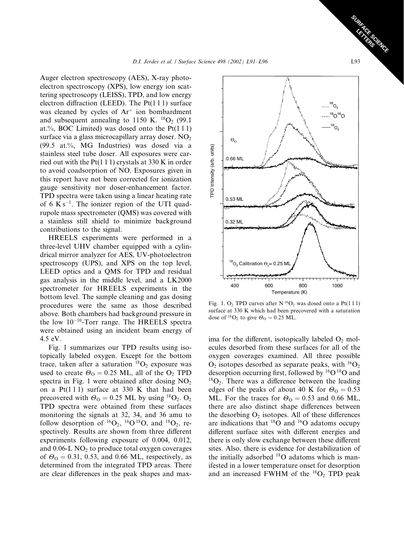Auger electron spectroscopy (AES), X-ray photoelectron spectroscopy (XPS), low energy ion scattering spectroscopy (LEISS), TPD, and low energy electron diffraction (LEED). The  $Pt(1\ 1\ 1)$  surface was cleaned by cycles of  $Ar^+$  ion bombardment and subsequent annealing to 1150 K.  $^{18}O_2$  (99.1) at.%, BOC Limited) was dosed onto the  $Pt(111)$ surface via a glass microcapillary array doser.  $NO<sub>2</sub>$ (99.5 at.%, MG Industries) was dosed via a stainless steel tube doser.All exposures were carried out with the Pt(1 1 1) crystals at 330 K in order to avoid coadsorption of NO.Exposures given in this report have not been corrected for ionization gauge sensitivity nor doser-enhancement factor. TPD spectra were taken using a linear heating rate of 6  $K s^{-1}$ . The ionizer region of the UTI quadrupole mass spectrometer (QMS) was covered with a stainless still shield to minimize background contributions to the signal.

HREELS experiments were performed in a three-level UHV chamber equipped with a cylindrical mirror analyzer for AES, UV-photoelectron spectroscopy (UPS), and XPS on the top level, LEED optics and a QMS for TPD and residual gas analysis in the middle level, and a LK2000 spectrometer for HREELS experiments in the bottom level.The sample cleaning and gas dosing procedures were the same as those described above. Both chambers had background pressure in the low  $10^{-10}$ -Torr range. The HREELS spectra were obtained using an incident beam energy of 4.5 eV.

Fig.1 summarizes our TPD results using isotopically labeled oxygen.Except for the bottom trace, taken after a saturation  ${}^{18}O_2$  exposure was used to create  $\Theta_0 = 0.25$  ML, all of the O<sub>2</sub> TPD spectra in Fig. 1 were obtained after dosing  $NO<sub>2</sub>$ on a  $Pt(111)$  surface at 330 K that had been precovered with  $\Theta_0 = 0.25$  ML by using <sup>18</sup>O<sub>2</sub>. O<sub>2</sub> TPD spectra were obtained from these surfaces monitoring the signals at 32, 34, and 36 amu to follow desorption of  ${}^{16}O_2$ ,  ${}^{16}O$   ${}^{18}O$ , and  ${}^{18}O_2$ , respectively. Results are shown from three different experiments following exposure of 0.004, 0.012, and  $0.06$ -L NO<sub>2</sub> to produce total oxygen coverages of  $\Theta_0 = 0.31$ , 0.53, and 0.66 ML, respectively, as determined from the integrated TPD areas. There are clear differences in the peak shapes and max-



Fig. 1. O<sub>2</sub> TPD curves after N<sup>16</sup>O<sub>2</sub> was dosed onto a Pt(111) surface at 330 K which had been precovered with a saturation dose of <sup>18</sup>O<sub>2</sub> to give  $\Theta$ <sub>O</sub> = 0.25 ML.

ima for the different, isotopically labeled  $O_2$  molecules desorbed from these surfaces for all of the oxygen coverages examined.All three possible  $O_2$  isotopes desorbed as separate peaks, with  ${}^{16}O_2$ desorption occurring first, followed by  ${}^{16}O$   ${}^{18}O$  and  ${}^{18}O_2$ . There was a difference between the leading edges of the peaks of about 40 K for  $\theta_{0} = 0.53$ ML. For the traces for  $\Theta_0 = 0.53$  and 0.66 ML, there are also distinct shape differences between the desorbing  $O_2$  isotopes. All of these differences are indications that  $^{18}O$  and  $^{16}O$  adatoms occupy different surface sites with different energies and there is only slow exchange between these different sites.Also, there is evidence for destabilization of the initially adsorbed  $^{18}O$  adatoms which is manifested in a lower temperature onset for desorption and an increased FWHM of the  ${}^{18}O_2$  TPD peak

SURFACE SCRIENCE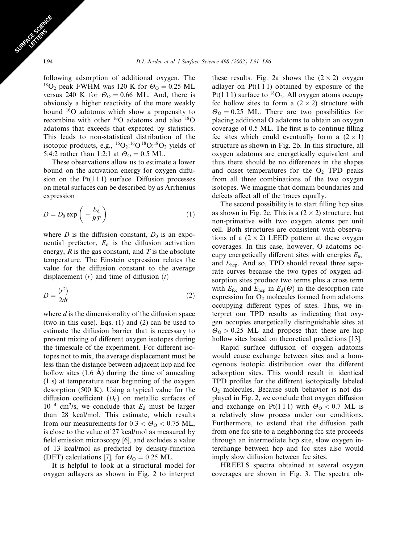following adsorption of additional oxygen. The <sup>18</sup>O<sub>2</sub> peak FWHM was 120 K for  $\Theta_0 = 0.25$  ML versus 240 K for  $\Theta_0 = 0.66$  ML. And, there is obviously a higher reactivity of the more weakly bound 16O adatoms which show a propensity to recombine with other  $^{16}O$  adatoms and also  $^{18}O$ adatoms that exceeds that expected by statistics. This leads to non-statistical distribution of the isotopic products, e.g.,  ${}^{16}O_2$ :<sup>16</sup>O<sup>18</sup>O:<sup>18</sup>O<sub>2</sub> yields of 5:4:2 rather than 1:2:1 at  $\Theta_0 = 0.5$  ML.

These observations allow us to estimate a lower bound on the activation energy for oxygen diffusion on the  $Pt(111)$  surface. Diffusion processes on metal surfaces can be described by as Arrhenius expression

$$
D = D_0 \exp\left(-\frac{E_d}{RT}\right) \tag{1}
$$

where D is the diffusion constant,  $D_0$  is an exponential prefactor,  $E_d$  is the diffusion activation energy,  $R$  is the gas constant, and  $T$  is the absolute temperature.The Einstein expression relates the value for the diffusion constant to the average displacement  $(r)$  and time of diffusion  $(t)$ 

$$
D = \frac{\langle r^2 \rangle}{2dt} \tag{2}
$$

where  $d$  is the dimensionality of the diffusion space (two in this case). Eqs.  $(1)$  and  $(2)$  can be used to estimate the diffusion barrier that is necessary to prevent mixing of different oxygen isotopes during the timescale of the experiment.For different isotopes not to mix, the average displacement must be less than the distance between adjacent hcp and fcc hollow sites (1.6 A) during the time of annealing (1 s) at temperature near beginning of the oxygen desorption  $(500 \text{ K})$ . Using a typical value for the diffusion coefficient  $(D_0)$  on metallic surfaces of  $10^{-4}$  cm<sup>2</sup>/s, we conclude that  $E_d$  must be larger than 28 kcal/mol.This estimate, which results from our measurements for  $0.3 < \Theta_0 < 0.75$  ML, is close to the value of 27 kcal/mol as measured by field emission microscopy [6], and excludes a value of 13 kcal/mol as predicted by density-function (DFT) calculations [7], for  $\Theta_0 = 0.25$  ML.

It is helpful to look at a structural model for oxygen adlayers as shown in Fig.2 to interpret these results. Fig. 2a shows the  $(2 \times 2)$  oxygen adlayer on  $Pt(111)$  obtained by exposure of the Pt(1 1 1) surface to  ${}^{18}O_2$ . All oxygen atoms occupy fcc hollow sites to form a  $(2 \times 2)$  structure with  $\Theta$ <sub>O</sub> = 0.25 ML. There are two possibilities for placing additional O adatoms to obtain an oxygen coverage of 0.5 ML. The first is to continue filling fcc sites which could eventually form a  $(2 \times 1)$ structure as shown in Fig.2b.In this structure, all oxygen adatoms are energetically equivalent and thus there should be no differences in the shapes and onset temperatures for the  $O<sub>2</sub>$  TPD peaks from all three combinations of the two oxygen isotopes.We imagine that domain boundaries and defects affect all of the traces equally.

The second possibility is to start filling hcp sites as shown in Fig. 2c. This is a  $(2 \times 2)$  structure, but non-primative with two oxygen atoms per unit cell. Both structures are consistent with observations of a  $(2 \times 2)$  LEED pattern at these oxygen coverages.In this case, however, O adatoms occupy energetically different sites with energies  $E_{\text{fcc}}$ and  $E_{\text{hep}}$ . And so, TPD should reveal three separate curves because the two types of oxygen adsorption sites produce two terms plus a cross term with  $E_{\text{fcc}}$  and  $E_{\text{hcp}}$  in  $E_{\text{d}}(\Theta)$  in the desorption rate expression for  $O_2$  molecules formed from adatoms occupying different types of sites.Thus, we interpret our TPD results as indicating that oxygen occupies energetically distinguishable sites at  $\theta$ <sub>0</sub> > 0.25 ML and propose that these are hcp hollow sites based on theoretical predictions [13].

Rapid surface diffusion of oxygen adatoms would cause exchange between sites and a homogenous isotopic distribution over the different adsorption sites.This would result in identical TPD profiles for the different isotopically labeled  $O<sub>2</sub>$  molecules. Because such behavior is not displayed in Fig.2, we conclude that oxygen diffusion and exchange on Pt(111) with  $\Theta_0 < 0.7$  ML is a relatively slow process under our conditions. Furthermore, to extend that the diffusion path from one fcc site to a neighboring fcc site proceeds through an intermediate hcp site, slow oxygen interchange between hcp and fcc sites also would imply slow diffusion between fcc sites.

HREELS spectra obtained at several oxygen coverages are shown in Fig.3.The spectra ob-

SURFACE SCRIPTION CEL TERS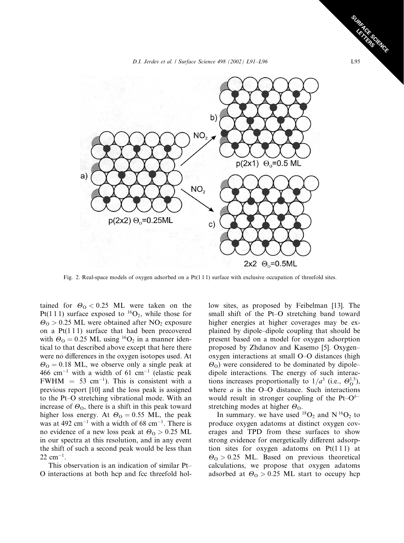D.I. Jerdev et al. / Surface Science 498 (2002) L91–L96 L95



Fig. 2. Real-space models of oxygen adsorbed on a Pt(111) surface with exclusive occupation of threefold sites.

tained for  $\Theta_0 < 0.25$  ML were taken on the Pt(111) surface exposed to <sup>16</sup>O<sub>2</sub>, while those for  $\theta$ <sub>O</sub> > 0.25 ML were obtained after NO<sub>2</sub> exposure on a  $Pt(111)$  surface that had been precovered with  $\Theta_0 = 0.25$  ML using <sup>16</sup>O<sub>2</sub> in a manner identical to that described above except that here there were no differences in the oxygen isotopes used.At  $\Theta$ <sup>o</sup> = 0.18 ML, we observe only a single peak at  $466$  cm<sup>-1</sup> with a width of 61 cm<sup>-1</sup> (elastic peak FWHM  $= 53$  cm<sup>-1</sup>). This is consistent with a previous report [10] and the loss peak is assigned to the Pt–O stretching vibrational mode. With an increase of  $\Theta_0$ , there is a shift in this peak toward higher loss energy. At  $\Theta_0 = 0.55$  ML, the peak was at 492  $\text{cm}^{-1}$  with a width of 68  $\text{cm}^{-1}$ . There is no evidence of a new loss peak at  $\theta_{\rm O} > 0.25$  ML in our spectra at this resolution, and in any event the shift of such a second peak would be less than  $22 \text{ cm}^{-1}$ .

This observation is an indication of similar Pt– O interactions at both hcp and fcc threefold hol-

low sites, as proposed by Feibelman [13]. The small shift of the Pt–O stretching band toward higher energies at higher coverages may be explained by dipole–dipole coupling that should be present based on a model for oxygen adsorption proposed by Zhdanov and Kasemo [5].Oxygen– oxygen interactions at small O–O distances (high  $\Theta$ <sub>O</sub>) were considered to be dominated by dipole– dipole interactions.The energy of such interactions increases proportionally to  $1/a^3$  (i.e.,  $\Theta_0^{1.5}$ ), where  $a$  is the O–O distance. Such interactions would result in stronger coupling of the Pt– $O^{\delta-}$ stretching modes at higher  $\Theta_0$ .

In summary, we have used  $^{18}O_2$  and N  $^{16}O_2$  to produce oxygen adatoms at distinct oxygen coverages and TPD from these surfaces to show strong evidence for energetically different adsorption sites for oxygen adatoms on  $Pt(111)$  at  $\theta$ <sub>O</sub> > 0.25 ML. Based on previous theoretical calculations, we propose that oxygen adatoms adsorbed at  $\Theta$ <sub>O</sub> > 0.25 ML start to occupy hcp

SURFACE SCRIENCE